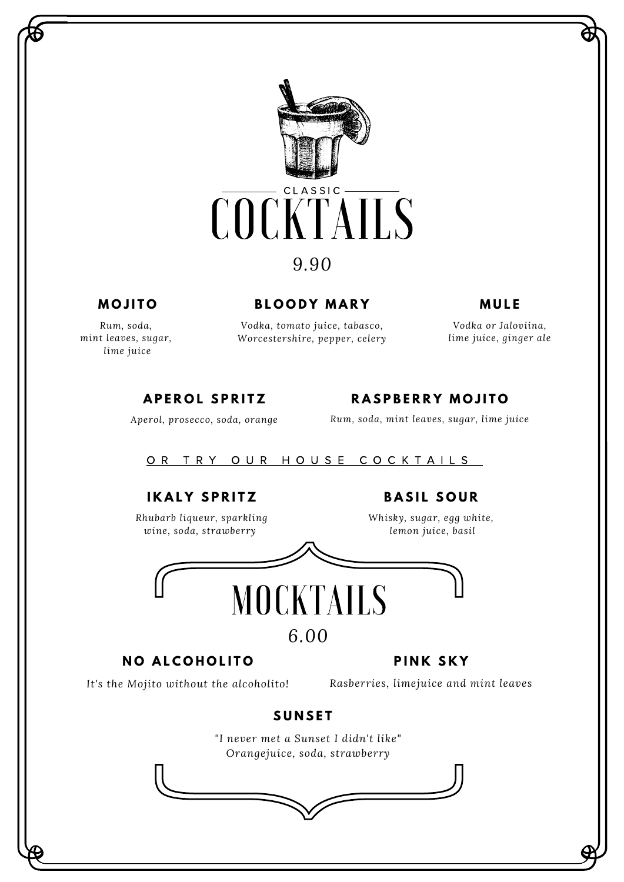

# *9.90*

#### **M O J I T O**

#### **B L O O D Y M A R Y**

#### *Vodka, tomato juice, tabasco, Worcestershire, pepper, celery*

#### **M U L E**

*Vodka or Jaloviina, lime juice, ginger ale*

#### *Rum, soda, mint leaves, sugar, lime juice*

### **A P E R O L S P R I T Z**

# **R A S P B E R R Y M O J I T O**

*Aperol, prosecco, soda, orange*

# *Rum, soda, mint leaves, sugar, lime juice*

#### OR TRY OUR HOUSE COCKTAILS

### **IKALY SPRITZ**

*Rhubarb liqueur, sparkling wine, soda, strawberry*

### **B A S I L S O U R**

*Whisky, sugar, egg white, lemon juice, basil*



# *6.00*

# **N O A L C O H O L I T O**

*It's the Mojito without the alcoholito!*

**PINK SKY** 

*Rasberries, limejuice and mint leaves*

### **S U N S E T**

*"I never met a Sunset I didn't like" Orangejuice, soda, strawberry*